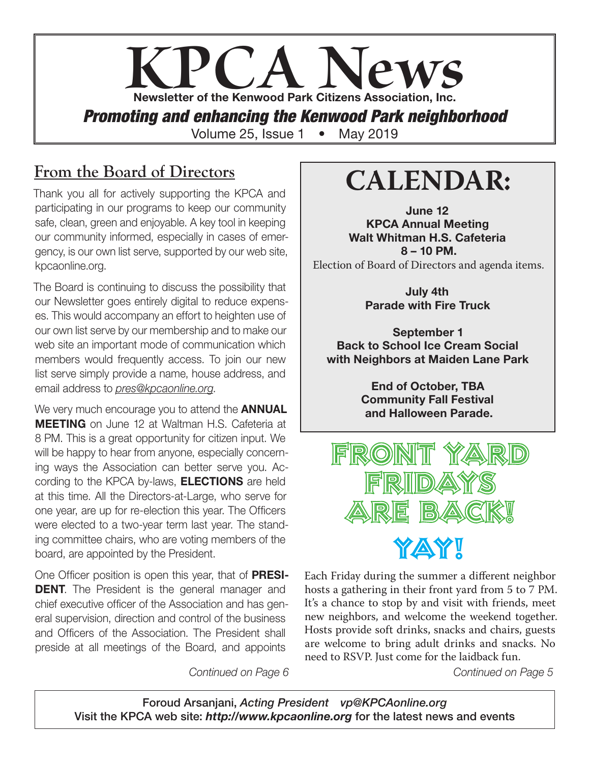# **KPCA Newsletter of the Kenwood Park Citizens Association, Inc.** *Promoting and enhancing the Kenwood Park neighborhood* Volume 25, Issue 1 • May 2019

## **From the Board of Directors**

Thank you all for actively supporting the KPCA and participating in our programs to keep our community safe, clean, green and enjoyable. A key tool in keeping our community informed, especially in cases of emergency, is our own list serve, supported by our web site, kpcaonline.org.

The Board is continuing to discuss the possibility that our Newsletter goes entirely digital to reduce expenses. This would accompany an effort to heighten use of our own list serve by our membership and to make our web site an important mode of communication which members would frequently access. To join our new list serve simply provide a name, house address, and email address to *pres@kpcaonline.org*.

We very much encourage you to attend the **ANNUAL** MEETING on June 12 at Waltman H.S. Cafeteria at 8 PM. This is a great opportunity for citizen input. We will be happy to hear from anyone, especially concerning ways the Association can better serve you. According to the KPCA by-laws, ELECTIONS are held at this time. All the Directors-at-Large, who serve for one year, are up for re-election this year. The Officers were elected to a two-year term last year. The standing committee chairs, who are voting members of the board, are appointed by the President.

One Officer position is open this year, that of PRESI-**DENT.** The President is the general manager and chief executive officer of the Association and has general supervision, direction and control of the business and Officers of the Association. The President shall preside at all meetings of the Board, and appoints

## **CALENDAR:**

June 12 KPCA Annual Meeting Walt Whitman H.S. Cafeteria 8 – 10 PM. Election of Board of Directors and agenda items.

> July 4th Parade with Fire Truck

September 1 Back to School Ice Cream Social with Neighbors at Maiden Lane Park

> End of October, TBA Community Fall Festival and Halloween Parade.



Each Friday during the summer a different neighbor hosts a gathering in their front yard from 5 to 7 PM. It's a chance to stop by and visit with friends, meet new neighbors, and welcome the weekend together. Hosts provide soft drinks, snacks and chairs, guests are welcome to bring adult drinks and snacks. No need to RSVP. Just come for the laidback fun.

*Continued on Page 6 Continued on Page 5*

Foroud Arsanjani, *Acting President vp@KPCAonline.org* Visit the KPCA web site: *http://www.kpcaonline.org* for the latest news and events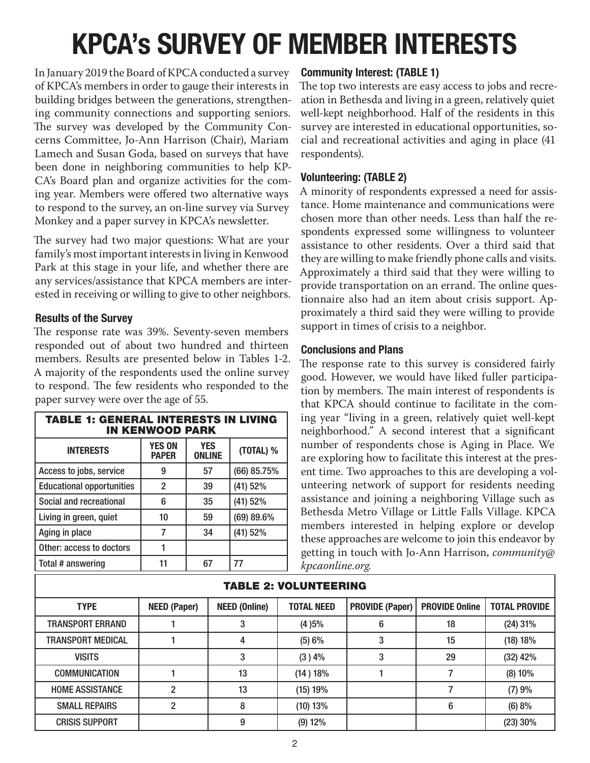# KPCA's SURVEY OF MEMBER INTERESTS

In January 2019 the Board of KPCA conducted a survey of KPCA's members in order to gauge their interests in building bridges between the generations, strengthening community connections and supporting seniors. The survey was developed by the Community Concerns Committee, Jo-Ann Harrison (Chair), Mariam Lamech and Susan Goda, based on surveys that have been done in neighboring communities to help KP-CA's Board plan and organize activities for the coming year. Members were offered two alternative ways to respond to the survey, an on-line survey via Survey Monkey and a paper survey in KPCA's newsletter.

The survey had two major questions: What are your family's most important interests in living in Kenwood Park at this stage in your life, and whether there are any services/assistance that KPCA members are interested in receiving or willing to give to other neighbors.

#### Results of the Survey

The response rate was 39%. Seventy-seven members responded out of about two hundred and thirteen members. Results are presented below in Tables 1-2. A majority of the respondents used the online survey to respond. The few residents who responded to the paper survey were over the age of 55.

| <b>TABLE 1: GENERAL INTERESTS IN LIVING</b><br><b>IN KENWOOD PARK</b> |                               |                             |              |  |  |
|-----------------------------------------------------------------------|-------------------------------|-----------------------------|--------------|--|--|
| <b>INTERESTS</b>                                                      | <b>YES ON</b><br><b>PAPER</b> | <b>YES</b><br><b>ONLINE</b> | (TOTAL) %    |  |  |
| Access to jobs, service                                               | 9                             | 57                          | (66) 85.75%  |  |  |
| <b>Educational opportunities</b>                                      | $\overline{2}$                | 39                          | (41) 52%     |  |  |
| Social and recreational                                               | 6                             | 35                          | (41) 52%     |  |  |
| Living in green, quiet                                                | 10                            | 59                          | $(69)$ 89.6% |  |  |
| Aging in place                                                        | 7                             | 34                          | (41) 52%     |  |  |
| Other: access to doctors                                              |                               |                             |              |  |  |
| Total # answering                                                     | 11                            | 67                          | 77           |  |  |

#### Community Interest: (TABLE 1)

The top two interests are easy access to jobs and recreation in Bethesda and living in a green, relatively quiet well-kept neighborhood. Half of the residents in this survey are interested in educational opportunities, social and recreational activities and aging in place (41 respondents).

#### Volunteering: (TABLE 2)

A minority of respondents expressed a need for assistance. Home maintenance and communications were chosen more than other needs. Less than half the respondents expressed some willingness to volunteer assistance to other residents. Over a third said that they are willing to make friendly phone calls and visits. Approximately a third said that they were willing to provide transportation on an errand. The online questionnaire also had an item about crisis support. Approximately a third said they were willing to provide support in times of crisis to a neighbor.

#### Conclusions and Plans

The response rate to this survey is considered fairly good. However, we would have liked fuller participation by members. The main interest of respondents is that KPCA should continue to facilitate in the coming year "living in a green, relatively quiet well-kept neighborhood." A second interest that a significant number of respondents chose is Aging in Place. We are exploring how to facilitate this interest at the present time. Two approaches to this are developing a volunteering network of support for residents needing assistance and joining a neighboring Village such as Bethesda Metro Village or Little Falls Village. KPCA members interested in helping explore or develop these approaches are welcome to join this endeavor by getting in touch with Jo-Ann Harrison, *community@ kpcaonline.org.*

| <b>TABLE 2: VOLUNTEERING</b> |                     |                      |                   |                        |                       |                      |  |
|------------------------------|---------------------|----------------------|-------------------|------------------------|-----------------------|----------------------|--|
| <b>TYPE</b>                  | <b>NEED (Paper)</b> | <b>NEED (Online)</b> | <b>TOTAL NEED</b> | <b>PROVIDE (Paper)</b> | <b>PROVIDE Online</b> | <b>TOTAL PROVIDE</b> |  |
| <b>TRANSPORT ERRAND</b>      |                     | 3                    | (4)5%             | 6                      | 18                    | $(24)$ 31%           |  |
| TRANSPORT MEDICAL            |                     | 4                    | (5) 6%            | 3                      | 15                    | (18) 18%             |  |
| <b>VISITS</b>                |                     |                      | $(3)$ 4%          | 3                      | 29                    | $(32)$ 42%           |  |
| <b>COMMUNICATION</b>         |                     | 13                   | (14) 18%          |                        |                       | (8) 10%              |  |
| <b>HOME ASSISTANCE</b>       | 2                   | 13                   | (15) 19%          |                        |                       | (7)9%                |  |
| <b>SMALL REPAIRS</b>         | 2                   | 8                    | (10) 13%          |                        | 6                     | (6) 8%               |  |
| <b>CRISIS SUPPORT</b>        |                     | 9                    | $(9)$ 12%         |                        |                       | $(23)$ 30%           |  |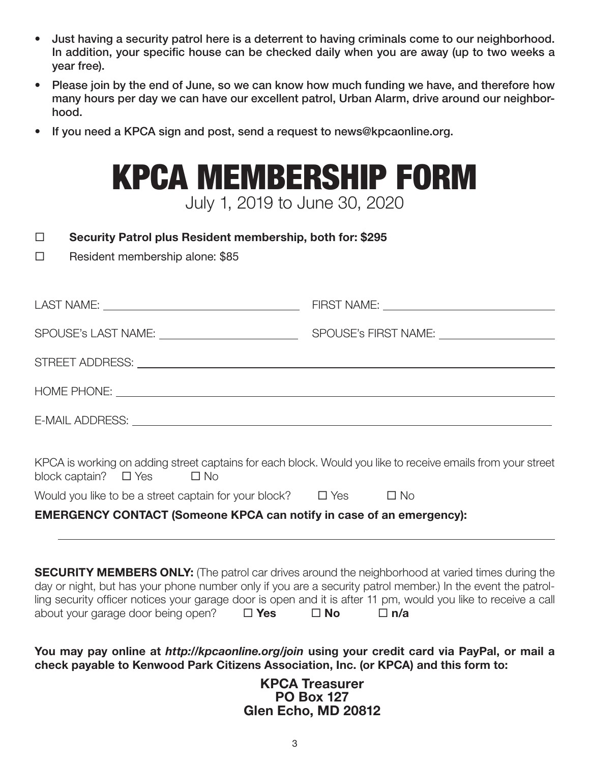- Just having a security patrol here is a deterrent to having criminals come to our neighborhood. In addition, your specific house can be checked daily when you are away (up to two weeks a year free).
- Please join by the end of June, so we can know how much funding we have, and therefore how many hours per day we can have our excellent patrol, Urban Alarm, drive around our neighborhood.
- If you need a KPCA sign and post, send a request to news@kpcaonline.org.

## KPCA MEMBERSHIP FORM July 1, 2019 to June 30, 2020

#### □ Security Patrol plus Resident membership, both for: \$295

 $\square$  Resident membership alone: \$85

| KPCA is working on adding street captains for each block. Would you like to receive emails from your street<br>block captain? $\Box$ Yes $\Box$ No |  |
|----------------------------------------------------------------------------------------------------------------------------------------------------|--|
| Would you like to be a street captain for your block? $\Box$ Yes $\Box$ No                                                                         |  |
| <b>EMERGENCY CONTACT (Someone KPCA can notify in case of an emergency):</b>                                                                        |  |
|                                                                                                                                                    |  |
|                                                                                                                                                    |  |

|                                    |               |           |            | <b>SECURITY MEMBERS ONLY:</b> (The patrol car drives around the neighborhood at varied times during the        |
|------------------------------------|---------------|-----------|------------|----------------------------------------------------------------------------------------------------------------|
|                                    |               |           |            | day or night, but has your phone number only if you are a security patrol member.) In the event the patrol-    |
|                                    |               |           |            | ling security officer notices your garage door is open and it is after 11 pm, would you like to receive a call |
| about your garage door being open? | $\square$ Yes | $\Box$ No | $\Box$ n/a |                                                                                                                |

You may pay online at *http://kpcaonline.org/join* using your credit card via PayPal, or mail a check payable to Kenwood Park Citizens Association, Inc. (or KPCA) and this form to:

> KPCA Treasurer PO Box 127 Glen Echo, MD 20812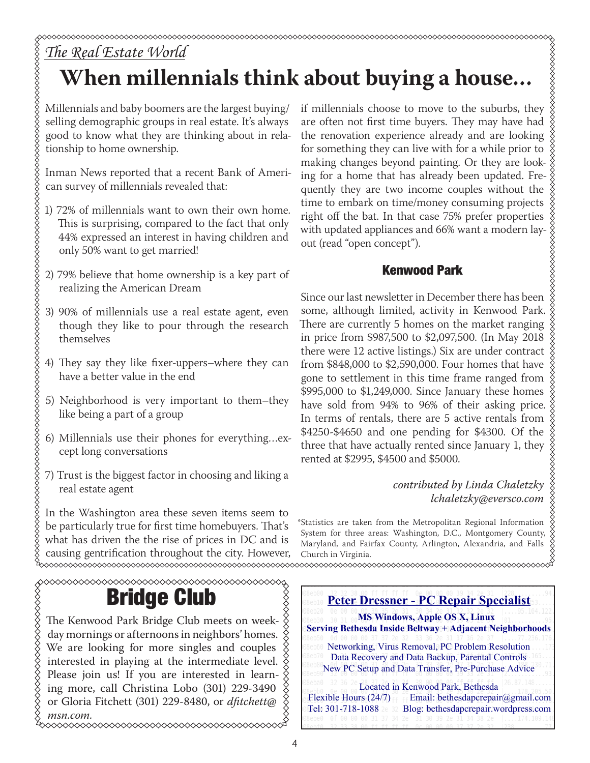## *The Real Estate World* **When millennials think about buying a house…**

Millennials and baby boomers are the largest buying/ selling demographic groups in real estate. It's always good to know what they are thinking about in relationship to home ownership.

**\$\$\$\$\$\$\$\$\$\$\$\$\$\$\$\$\$\$\$\$\$** 

Inman News reported that a recent Bank of American survey of millennials revealed that:

- 1) 72% of millennials want to own their own home. This is surprising, compared to the fact that only 44% expressed an interest in having children and only 50% want to get married!
- 2) 79% believe that home ownership is a key part of realizing the American Dream
- 3) 90% of millennials use a real estate agent, even though they like to pour through the research themselves
- 4) They say they like fixer-uppers–where they can have a better value in the end
- 5) Neighborhood is very important to them–they like being a part of a group
- 6) Millennials use their phones for everything…except long conversations
- 7) Trust is the biggest factor in choosing and liking a real estate agent

In the Washington area these seven items seem to be particularly true for first time homebuyers. That's what has driven the the rise of prices in DC and is causing gentrification throughout the city. However, Church in Virginia.

# Bridge Club

The Kenwood Park Bridge Club meets on week- $\frac{3}{2}$ day mornings or afternoons in neighbors' homes.  $\hat{\diamond}$ We are looking for more singles and couples interested in playing at the intermediate level.  $\frac{8}{2}$ Please join us! If you are interested in learning more, call Christina Lobo (301) 229-3490 or Gloria Fitchett (301) 229-8480, or *dfitchett@ msn.com.*

if millennials choose to move to the suburbs, they are often not first time buyers. They may have had the renovation experience already and are looking for something they can live with for a while prior to making changes beyond painting. Or they are look- $\frac{3}{8}$ ing for a home that has already been updated. Fre- $\S$ quently they are two income couples without the time to embark on time/money consuming projects right off the bat. In that case 75% prefer properties with updated appliances and 66% want a modern layout (read "open concept").

#### Kenwood Park

Since our last newsletter in December there has been some, although limited, activity in Kenwood Park. There are currently 5 homes on the market ranging in price from \$987,500 to \$2,097,500. (In May 2018 there were 12 active listings.) Six are under contract from \$848,000 to \$2,590,000. Four homes that have gone to settlement in this time frame ranged from  $\frac{8}{3}$ \$995,000 to \$1,249,000. Since January these homes have sold from 94% to 96% of their asking price. In terms of rentals, there are 5 active rentals from \$4250-\$4650 and one pending for \$4300. Of the three that have actually rented since January 1, they rented at \$2995, \$4500 and \$5000.

> *contributed by Linda Chaletzky lchaletzky@eversco.com*

\*Statistics are taken from the Metropolitan Regional Information System for three areas: Washington, D.C., Montgomery County, Maryland, and Fairfax County, Arlington, Alexandria, and Falls Church in Virginia.

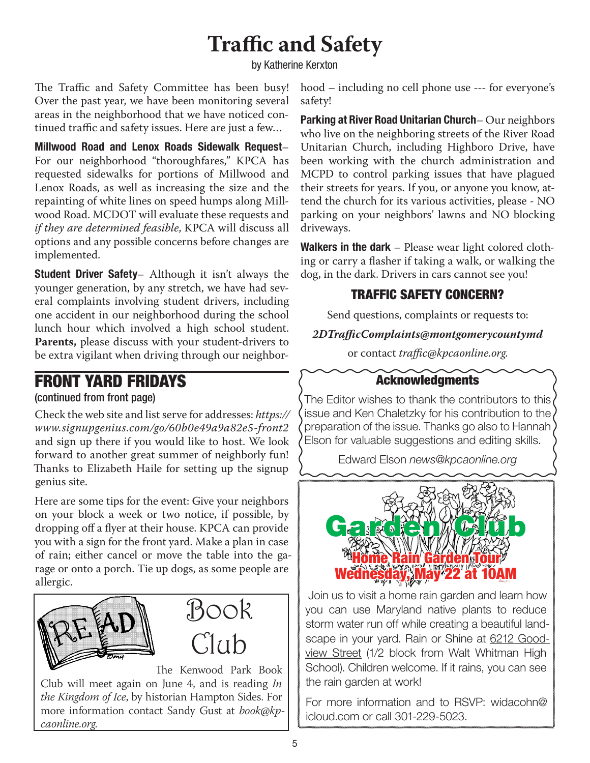## **Traffic and Safety**

by Katherine Kerxton

The Traffic and Safety Committee has been busy! Over the past year, we have been monitoring several areas in the neighborhood that we have noticed continued traffic and safety issues. Here are just a few…

Millwood Road and Lenox Roads Sidewalk Request– For our neighborhood "thoroughfares," KPCA has requested sidewalks for portions of Millwood and Lenox Roads, as well as increasing the size and the repainting of white lines on speed humps along Millwood Road. MCDOT will evaluate these requests and *if they are determined feasible*, KPCA will discuss all options and any possible concerns before changes are implemented.

**Student Driver Safety** – Although it isn't always the younger generation, by any stretch, we have had several complaints involving student drivers, including one accident in our neighborhood during the school lunch hour which involved a high school student. **Parents,** please discuss with your student-drivers to be extra vigilant when driving through our neighbor-

### FRONT YARD FRIDAYS

#### (continued from front page)

Check the web site and list serve for addresses: *https:// www.signupgenius.com/go/60b0e49a9a82e5-front2*  and sign up there if you would like to host. We look forward to another great summer of neighborly fun! Thanks to Elizabeth Haile for setting up the signup genius site.

Here are some tips for the event: Give your neighbors on your block a week or two notice, if possible, by dropping off a flyer at their house. KPCA can provide you with a sign for the front yard. Make a plan in case of rain; either cancel or move the table into the garage or onto a porch. Tie up dogs, as some people are allergic.



The Kenwood Park Book Club will meet again on June 4, and is reading *In the Kingdom of Ice*, by historian Hampton Sides. For more information contact Sandy Gust at *book@kpcaonline.org*.

hood – including no cell phone use --- for everyone's safety!

Parking at River Road Unitarian Church– Our neighbors who live on the neighboring streets of the River Road Unitarian Church, including Highboro Drive, have been working with the church administration and MCPD to control parking issues that have plagued their streets for years. If you, or anyone you know, attend the church for its various activities, please - NO parking on your neighbors' lawns and NO blocking driveways.

Walkers in the dark – Please wear light colored clothing or carry a flasher if taking a walk, or walking the dog, in the dark. Drivers in cars cannot see you!

#### TRAFFIC SAFETY CONCERN?

Send questions, complaints or requests to:

#### *2DTrafficComplaints@montgomerycountymd*

or contact *traffic@kpcaonline.org*.

#### Acknowledgments

The Editor wishes to thank the contributors to this issue and Ken Chaletzky for his contribution to the preparation of the issue. Thanks go also to Hannah Elson for valuable suggestions and editing skills.

Edward Elson *news@kpcaonline.org*



 Join us to visit a home rain garden and learn how you can use Maryland native plants to reduce storm water run off while creating a beautiful landscape in your yard. Rain or Shine at 6212 Goodview Street (1/2 block from Walt Whitman High School). Children welcome. If it rains, you can see the rain garden at work!

For more information and to RSVP: widacohn@ icloud.com or call 301-229-5023.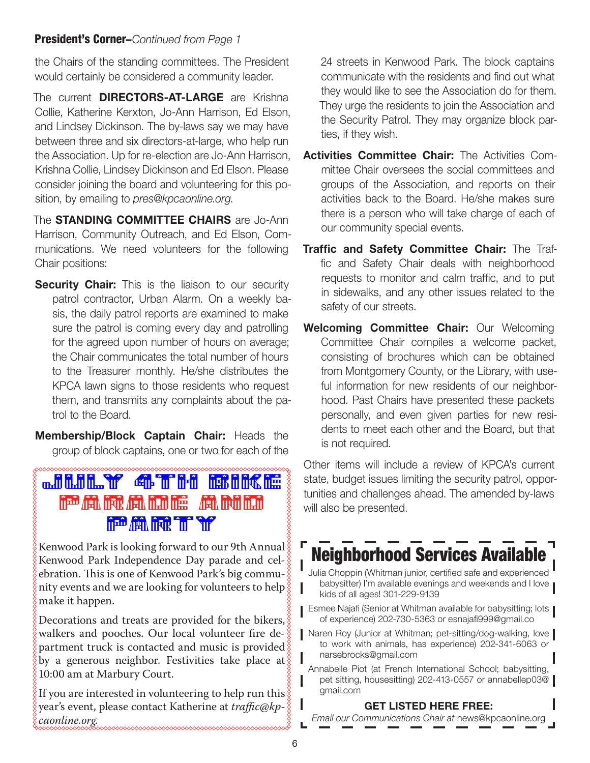#### President's Corner–*Continued from Page 1*

the Chairs of the standing committees. The President would certainly be considered a community leader.

The current **DIRECTORS-AT-LARGE** are Krishna Collie, Katherine Kerxton, Jo-Ann Harrison, Ed Elson, and Lindsey Dickinson. The by-laws say we may have between three and six directors-at-large, who help run the Association. Up for re-election are Jo-Ann Harrison, Krishna Collie, Lindsey Dickinson and Ed Elson. Please consider joining the board and volunteering for this position, by emailing to *pres@kpcaonline.org*.

The **STANDING COMMITTEE CHAIRS** are Jo-Ann Harrison, Community Outreach, and Ed Elson, Communications. We need volunteers for the following Chair positions:

**Security Chair:** This is the liaison to our security patrol contractor, Urban Alarm. On a weekly basis, the daily patrol reports are examined to make sure the patrol is coming every day and patrolling for the agreed upon number of hours on average; the Chair communicates the total number of hours to the Treasurer monthly. He/she distributes the KPCA lawn signs to those residents who request them, and transmits any complaints about the patrol to the Board.

Membership/Block Captain Chair: Heads the group of block captains, one or two for each of the

## July 4th Bike Parade Andrew Carl Robert Andrew Andrew Carl Robert **First Add High "The State**

Kenwood Park is looking forward to our 9th Annual $\S$ Kenwood Park Independence Day parade and celebration. This is one of Kenwood Park's big community events and we are looking for volunteers to help make it happen.

Decorations and treats are provided for the bikers,  $\S$ walkers and pooches. Our local volunteer fire de- $\frac{8}{6}$ partment truck is contacted and music is provided  $\S$ by a generous neighbor. Festivities take place at  $\S$ 10:00 am at Marbury Court.

If you are interested in volunteering to help run this  $\S$ year's event, please contact Katherine at *traffic@kpcaonline.org.*

24 streets in Kenwood Park. The block captains communicate with the residents and find out what they would like to see the Association do for them. They urge the residents to join the Association and the Security Patrol. They may organize block parties, if they wish.

- Activities Committee Chair: The Activities Committee Chair oversees the social committees and groups of the Association, and reports on their activities back to the Board. He/she makes sure there is a person who will take charge of each of our community special events.
- Traffic and Safety Committee Chair: The Traffic and Safety Chair deals with neighborhood requests to monitor and calm traffic, and to put in sidewalks, and any other issues related to the safety of our streets.
- Welcoming Committee Chair: Our Welcoming Committee Chair compiles a welcome packet, consisting of brochures which can be obtained from Montgomery County, or the Library, with useful information for new residents of our neighborhood. Past Chairs have presented these packets personally, and even given parties for new residents to meet each other and the Board, but that is not required.

Other items will include a review of KPCA's current state, budget issues limiting the security patrol, opportunities and challenges ahead. The amended by-laws will also be presented.

## Neighborhood Services Available

- Julia Choppin (Whitman junior, certified safe and experienced babysitter) I'm available evenings and weekends and I love kids of all ages! 301-229-9139
- **Esmee Najafi (Senior at Whitman available for babysitting; lots** of experience) 202-730-5363 or esnajafi999@gmail.co
- Naren Roy (Junior at Whitman; pet-sitting/dog-walking, love to work with animals, has experience) 202-341-6063 or narsebrocks@gmail.com
	- Annabelle Piot (at French International School; babysitting, pet sitting, housesitting) 202-413-0557 or annabellep03@ gmail.com

#### GET LISTED HERE FREE:

*Email our Communications Chair at* news@kpcaonline.org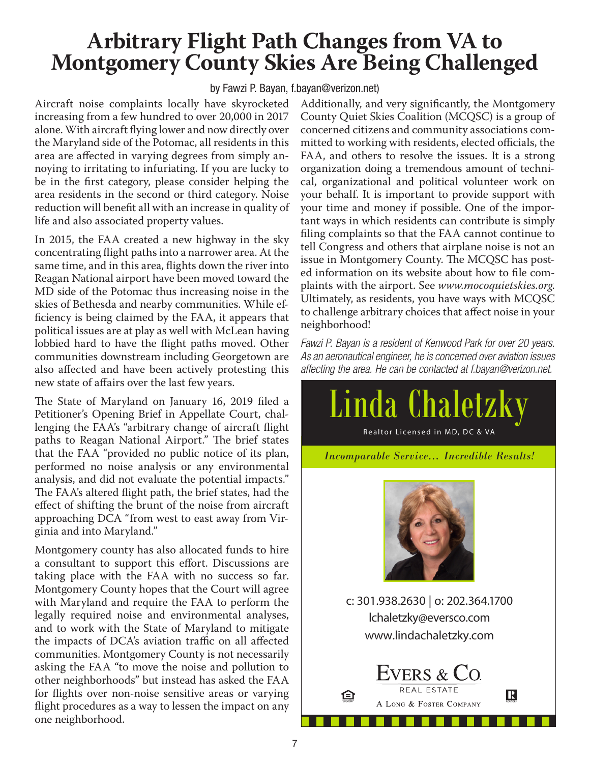# **Arbitrary Flight Path Changes from VA to Montgomery County Skies Are Being Challenged**

by Fawzi P. Bayan, f.bayan@verizon.net)

Aircraft noise complaints locally have skyrocketed increasing from a few hundred to over 20,000 in 2017 alone. With aircraft flying lower and now directly over the Maryland side of the Potomac, all residents in this area are affected in varying degrees from simply annoying to irritating to infuriating. If you are lucky to be in the first category, please consider helping the area residents in the second or third category. Noise reduction will benefit all with an increase in quality of life and also associated property values.

In 2015, the FAA created a new highway in the sky concentrating flight paths into a narrower area. At the same time, and in this area, flights down the river into Reagan National airport have been moved toward the MD side of the Potomac thus increasing noise in the skies of Bethesda and nearby communities. While efficiency is being claimed by the FAA, it appears that political issues are at play as well with McLean having lobbied hard to have the flight paths moved. Other communities downstream including Georgetown are also affected and have been actively protesting this new state of affairs over the last few years.

The State of Maryland on January 16, 2019 filed a Petitioner's Opening Brief in Appellate Court, challenging the FAA's "arbitrary change of aircraft flight paths to Reagan National Airport." The brief states that the FAA "provided no public notice of its plan, performed no noise analysis or any environmental analysis, and did not evaluate the potential impacts." The FAA's altered flight path, the brief states, had the effect of shifting the brunt of the noise from aircraft approaching DCA "from west to east away from Virginia and into Maryland."

Montgomery county has also allocated funds to hire a consultant to support this effort. Discussions are taking place with the FAA with no success so far. Montgomery County hopes that the Court will agree with Maryland and require the FAA to perform the legally required noise and environmental analyses, and to work with the State of Maryland to mitigate the impacts of DCA's aviation traffic on all affected communities. Montgomery County is not necessarily asking the FAA "to move the noise and pollution to other neighborhoods" but instead has asked the FAA for flights over non-noise sensitive areas or varying flight procedures as a way to lessen the impact on any one neighborhood.

Additionally, and very significantly, the Montgomery County Quiet Skies Coalition (MCQSC) is a group of concerned citizens and community associations committed to working with residents, elected officials, the FAA, and others to resolve the issues. It is a strong organization doing a tremendous amount of technical, organizational and political volunteer work on your behalf. It is important to provide support with your time and money if possible. One of the important ways in which residents can contribute is simply filing complaints so that the FAA cannot continue to tell Congress and others that airplane noise is not an issue in Montgomery County. The MCQSC has posted information on its website about how to file complaints with the airport. See *www.mocoquietskies.org*. Ultimately, as residents, you have ways with MCQSC to challenge arbitrary choices that affect noise in your neighborhood!

*Fawzi P. Bayan is a resident of Kenwood Park for over 20 years. As an aeronautical engineer, he is concerned over aviation issues affecting the area. He can be contacted at f.bayan@verizon.net.*